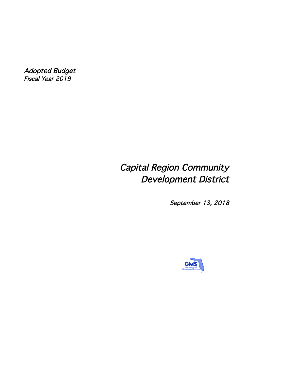Adopted Budget Fiscal Year 2019

# Capital Region Community Development District

September 13, 2018

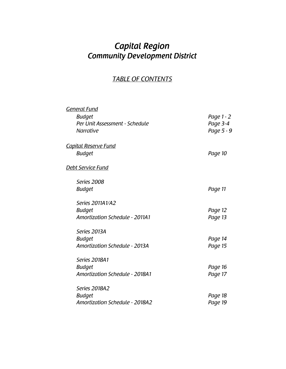## *Capital Region Community Development District*

### *TABLE OF CONTENTS*

| <b>General Fund</b>                   |            |
|---------------------------------------|------------|
| <b>Budget</b>                         | Page 1 - 2 |
| Per Unit Assessment - Schedule        | Page 3-4   |
| <b>Narrative</b>                      | Page 5 - 9 |
| <b>Capital Reserve Fund</b>           |            |
| <b>Budget</b>                         | Page 10    |
| Debt Service Fund                     |            |
| Series 2008                           |            |
| <b>Budget</b>                         | Page 11    |
| Series 2011A1/A2                      |            |
| <b>Budget</b>                         | Page 12    |
| <b>Amortization Schedule - 2011A1</b> | Page 13    |
| Series 2013A                          |            |
| <b>Budget</b>                         | Page 14    |
| <b>Amortization Schedule - 2013A</b>  | Page 15    |
| <b>Series 2018A1</b>                  |            |
| <b>Budget</b>                         | Page 16    |
| Amortization Schedule - 2018A1        | Page 17    |
| <b>Series 2018A2</b>                  |            |
| <b>Budget</b>                         | Page 18    |
| <b>Amortization Schedule - 2018A2</b> | Page 19    |
|                                       |            |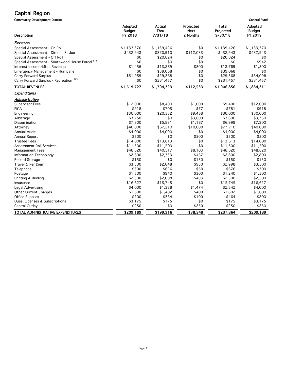Community Development District General Fund

| <b>Description</b>                              | Adopted<br><b>Budget</b><br>FY 2018 | <b>Actual</b><br>Thru<br>7/31/18 | Projected<br><b>Next</b><br>2 Months | <b>Total</b><br>Projected<br>9/30/18 | Adopted<br><b>Budget</b><br>FY 2019 |
|-------------------------------------------------|-------------------------------------|----------------------------------|--------------------------------------|--------------------------------------|-------------------------------------|
| Revenues                                        |                                     |                                  |                                      |                                      |                                     |
| Special Assessment - On Roll                    | \$1,133,370                         | \$1,139,426                      | \$0                                  | \$1,139,426                          | \$1,133,370                         |
| Special Assessment - Direct - St Joe            | \$432,943                           | \$320,910                        | \$112,033                            | \$432,943                            | \$432,943                           |
| Special Assessment - Off Roll                   | \$0                                 | \$20,824                         | \$0                                  | \$20,824                             | \$0                                 |
| Special Assessment - Southwood House Parcel (1) | \$0                                 | \$0                              | \$0                                  | \$0                                  | \$942                               |
| Interest Income/Misc. Revenue                   | \$1,456                             | \$13,269                         | \$500                                | \$13,769                             | \$1,500                             |
| <b>Emergency Management - Hurricane</b>         | \$0                                 | \$39,068                         | \$0                                  | \$39,068                             | \$0                                 |
| <b>Carry Forward Surplus</b>                    | \$51,959                            | \$29,368                         | \$0                                  | \$29,368                             | \$34,098                            |
| Carry Forward Surplus - Recreation (2)          | \$0                                 | \$231,457                        | \$0                                  | \$231,457                            | \$231,457                           |
| <b>TOTAL REVENUES</b>                           | \$1,619,727                         | \$1,794,323                      | \$112,533                            | \$1,906,856                          | \$1,834,311                         |
| Expenditures                                    |                                     |                                  |                                      |                                      |                                     |
| Administrative                                  |                                     |                                  |                                      |                                      |                                     |
| <b>Supervisor Fees</b>                          | \$12,000                            | \$8,400                          | \$1,000                              | \$9,400                              | \$12,000                            |
| <b>FICA</b>                                     | \$918                               | \$705                            | \$77                                 | \$781                                | \$918                               |
| Engineering                                     | \$30,000                            | \$20,532                         | \$9,468                              | \$30,000                             | \$30,000                            |
| Arbitrage                                       | \$3,750                             | \$0                              | \$3,600                              | \$3,600                              | \$3,750                             |
| Dissemination                                   | \$7,300                             | \$5,831                          | \$1,167                              | \$6,998                              | \$7,300                             |
| Attorney                                        | \$40,000                            | \$67,210                         | \$10,000                             | \$77,210                             | \$40,000                            |
| Annual Audit                                    | \$4,000                             | \$4,000                          | \$0                                  | \$4,000                              | \$4,000                             |
| Annual Report                                   | \$500                               | \$0                              | \$500                                | \$500                                | \$500                               |
| <b>Trustee Fees</b>                             | \$14,000                            | \$13,613                         | \$0                                  | \$13,613                             | \$14,000                            |
| Assessment Roll Services                        | \$11,500                            | \$11,500                         | \$0                                  | \$11,500                             | \$11,500                            |
| <b>Management Fees</b>                          | \$48,620                            | \$40,517                         | \$8,103                              | \$48,620                             | \$48,620                            |
| Information Technology                          | \$2,800                             | \$2,333                          | \$467                                | \$2,800                              | \$2,800                             |
| Record Storage                                  | \$150                               | \$0                              | \$150                                | \$150                                | \$150                               |
| Travel & Per Diem                               | \$3,500                             | \$2,048                          | \$950                                | \$2,998                              | \$3,500                             |
| Telephone                                       | \$300                               | \$626                            | \$50                                 | \$676                                | \$300                               |
| Postage                                         | \$1,500                             | \$940                            | \$300                                | \$1,240                              | \$1,500                             |
| Printing & Binding                              | \$2,500                             | \$2,008                          | \$493                                | \$2,500                              | \$2,500                             |
| Insurance                                       | \$16,627                            | \$15,745                         | \$0                                  | \$15,745                             | \$16,627                            |
| Legal Advertising                               | \$4,000                             | \$1,368                          | \$1,474                              | \$2,842                              | \$4,000                             |
| Other Current Charges                           | \$1,600                             | \$1,402                          | \$400                                | \$1,802                              | \$1,600                             |
| <b>Office Supplies</b>                          | \$200                               | \$364                            | \$100                                | \$464                                | \$200                               |
| Dues, Licenses & Subscriptions                  | \$3,175                             | \$175                            | \$0                                  | \$175                                | \$3,175                             |
| Capital Outlay                                  | \$250                               | \$0                              | \$250                                | \$250                                | \$250                               |
| TOTAL ADMINISTRATIVE EXPENDITURES               | \$209,189                           | \$199,316                        | \$38,548                             | \$237,864                            | \$209,189                           |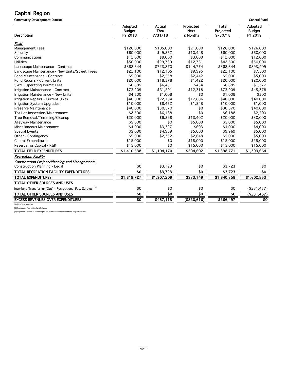Community Development District General Fund

| <b>Description</b>                                                     | Adopted<br><b>Budget</b><br>FY 2018 | Actual<br><b>Thru</b><br>7/31/18 | Projected<br><b>Next</b><br>2 Months | <b>Total</b><br>Projected<br>9/30/18 | Adopted<br><b>Budget</b><br>FY 2019 |
|------------------------------------------------------------------------|-------------------------------------|----------------------------------|--------------------------------------|--------------------------------------|-------------------------------------|
| Field                                                                  |                                     |                                  |                                      |                                      |                                     |
| Management Fees                                                        | \$126,000                           | \$105,000                        | \$21,000                             | \$126,000                            | \$126,000                           |
| Security                                                               | \$60,000                            | \$49,552                         | \$10,448                             | \$60,000                             | \$60,000                            |
| Communications                                                         | \$12,000                            | \$9,000                          | \$3,000                              | \$12,000                             | \$12,000                            |
| <b>Utilities</b>                                                       | \$50,000                            | \$29,739                         | \$12,761                             | \$42,500                             | \$50,000                            |
| Landscape Maintenance - Contract                                       | \$868,644                           | \$723,870                        | \$144,774                            | \$868,644                            | \$893,409                           |
| Landscape Maintenance - New Units/Street Trees                         | \$22,100                            | \$12,105                         | \$9,995                              | \$22,100                             | \$7,500                             |
| Pond Maintenance - Contract                                            | \$5,000                             | \$2,558                          | \$2,442                              | \$5,000                              | \$5,000                             |
| Pond Repairs - Current Units                                           | \$20,000                            | \$18,578                         | \$1,422                              | \$20,000                             | \$20,000                            |
| <b>SWMF Operating Permit Fees</b>                                      | \$6,885                             | \$6,451                          | \$434                                | \$6,885                              | \$1,377                             |
| Irrigation Maintenance - Contract                                      | \$73,909                            | \$61,591                         | \$12,318                             | \$73,909                             | \$45,378                            |
| Irrigation Maintenance - New Units                                     | \$4,500                             | \$1,008                          | \$0                                  | \$1,008                              | \$500                               |
| Irrigation Repairs - Current Units                                     | \$40,000                            | \$22,194                         | \$17,806                             | \$40,000                             | \$40,000                            |
| Irrigation System Upgrades                                             | \$10,000                            | \$8,452                          | \$1,548                              | \$10,000                             | \$1,000                             |
| Preserve Maintenance                                                   | \$40,000                            | \$30,570                         | \$0                                  | \$30,570                             | \$40,000                            |
| Tot Lot Inspection/Maintenance                                         | \$2,500                             | \$6,188                          | \$0                                  | \$6,188                              | \$2,500                             |
| Tree Removal/Trimming/Cleanup                                          | \$20,000                            | \$6,598                          | \$13,402                             | \$20,000                             | \$30,000                            |
| Alleyway Maintenance                                                   | \$5,000                             | \$0                              | \$5,000                              | \$5,000                              | \$5,000                             |
| Miscellaneous Maintenance                                              | \$4,000                             | \$3,397                          | \$603                                | \$4,000                              | \$4,000                             |
| <b>Special Events</b>                                                  | \$5,000                             | \$4,969                          | \$5,000                              | \$9,969                              | \$5,000                             |
| Other - Contingency                                                    | \$5,000                             | \$2,352                          | \$2,648                              | \$5,000                              | \$5,000                             |
| Capital Expenditures                                                   | \$15,000                            | \$0                              | \$15,000                             | \$15,000                             | \$25,000                            |
| Reserve for Capital - R&R                                              | \$15,000                            | \$0                              | \$15,000                             | \$15,000                             | \$15,000                            |
| <b>TOTAL FIELD EXPENDITURES</b>                                        | \$1,410,538                         | \$1,104,170                      | \$294,602                            | \$1,398,771                          | \$1,393,664                         |
| <b>Recreation Facility</b>                                             |                                     |                                  |                                      |                                      |                                     |
| Construction Project/Planning and Management:                          |                                     |                                  |                                      |                                      |                                     |
| <b>Construction Planning - Legal</b>                                   | \$0                                 | \$3,723                          | \$0                                  | \$3,723                              | \$0                                 |
| <b>TOTAL RECREATION FACILITY EXPENDITURES</b>                          | $\overline{30}$                     | \$3,723                          | $\overline{50}$                      | \$3,723                              | $\overline{30}$                     |
| <b>TOTAL EXPENDITURES</b>                                              | \$1,619,727                         | \$1,307,209                      | \$333,149                            | \$1,640,358                          | \$1,602,853                         |
| TOTAL OTHER SOURCES AND USES                                           |                                     |                                  |                                      |                                      |                                     |
| Interfund Transfer In/(Out) - Recreational Fac. Surplus <sup>(3)</sup> | \$0                                 | \$0                              | \$0                                  | \$0                                  | (\$231,457)                         |
| TOTAL OTHER SOURCES AND USES                                           | \$0                                 | $\overline{30}$                  | $\overline{30}$                      | \$0                                  | ( \$231,457)                        |
| <b>EXCESS REVENUES OVER EXPENDITURES</b>                               | $\overline{50}$                     | \$487,113                        | $($ \$220,616)                       | \$266,497                            | \$0                                 |
| (1) First Year Assessed                                                |                                     |                                  |                                      |                                      |                                     |

(2) Represents Recreation fund balance

(3) Represents return of remaining FY2017 recreation assessments to property owners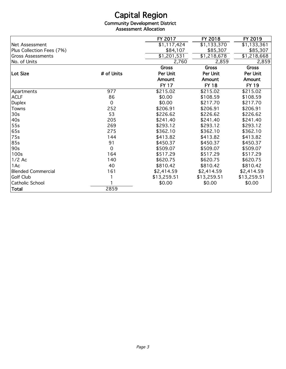Community Development District Assessment Allocation

|                           |             | FY 2017                 | FY 2018      | FY 2019      |
|---------------------------|-------------|-------------------------|--------------|--------------|
| Net Assessment            |             | $\overline{1,117,424}$  | \$1,133,370  | \$1,133,361  |
| Plus Collection Fees (7%) |             | \$84,107                | \$85,307     | \$85,307     |
| <b>Gross Assessments</b>  |             | $\overline{$}1,201,531$ | \$1,218,678  | \$1,218,668  |
| No. of Units              |             | 2,760                   | 2,859        | 2,859        |
|                           |             | <b>Gross</b>            | <b>Gross</b> | <b>Gross</b> |
| Lot Size                  | # of Units  | Per Unit                | Per Unit     | Per Unit     |
|                           |             | Amount                  | Amount       | Amount       |
|                           |             | <b>FY 17</b>            | <b>FY 18</b> | <b>FY 19</b> |
| Apartments                | 977         | \$215.02                | \$215.02     | \$215.02     |
| <b>ACLF</b>               | 86          | \$0.00                  | \$108.59     | \$108.59     |
| <b>Duplex</b>             | 0           | \$0.00                  | \$217.70     | \$217.70     |
| Towns                     | 252         | \$206.91                | \$206.91     | \$206.91     |
| 30 <sub>s</sub>           | 53          | \$226.62                | \$226.62     | \$226.62     |
| 40s                       | 205         | \$241.40                | \$241.40     | \$241.40     |
| 55s                       | 269         | \$293.12                | \$293.12     | \$293.12     |
| 65s                       | 275         | \$362.10                | \$362.10     | \$362.10     |
| 75s                       | 144         | \$413.82                | \$413.82     | \$413.82     |
| 85s                       | 91          | \$450.37                | \$450.37     | \$450.37     |
| 90s                       | $\mathbf 0$ | \$509.07                | \$509.07     | \$509.07     |
| 100s                      | 164         | \$517.29                | \$517.29     | \$517.29     |
| $1/2$ Ac                  | 140         | \$620.75                | \$620.75     | \$620.75     |
| 1Ac                       | 40          | \$810.42                | \$810.42     | \$810.42     |
| <b>Blended Commercial</b> | 161         | \$2,414.59              | \$2,414.59   | \$2,414.59   |
| Golf Club                 |             | \$13,259.51             | \$13,259.51  | \$13,259.51  |
| Catholic School           |             | \$0.00                  | \$0.00       | \$0.00       |
| Total                     | 2859        |                         |              |              |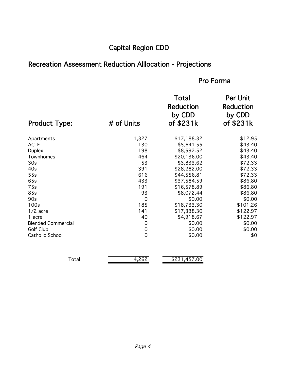## Capital Region CDD

## Recreation Assessment Reduction Alllocation - Projections

## Pro Forma

|                           |                     | <b>Total</b><br><b>Reduction</b><br>by CDD | <b>Per Unit</b><br><b>Reduction</b><br>by CDD |
|---------------------------|---------------------|--------------------------------------------|-----------------------------------------------|
| <b>Product Type:</b>      | # of Units          | of \$231k                                  | of \$231k                                     |
| Apartments                | 1,327               | \$17,188.32                                | \$12.95                                       |
| <b>ACLF</b>               | 130                 | \$5,641.55                                 | \$43.40                                       |
| <b>Duplex</b>             | 198                 | \$8,592.52                                 | \$43.40                                       |
| Townhomes                 | 464                 | \$20,136.00                                | \$43.40                                       |
| 30 <sub>s</sub>           | 53                  | \$3,833.62                                 | \$72.33                                       |
| 40s                       | 391                 | \$28,282.00                                | \$72.33                                       |
| 55s                       | 616                 | \$44,556.81                                | \$72.33                                       |
| 65s                       | 433                 | \$37,584.59                                | \$86.80                                       |
| 75s                       | 191                 | \$16,578.89                                | \$86.80                                       |
| 85s                       | 93                  | \$8,072.44                                 | \$86.80                                       |
| 90s                       | $\mathbf 0$         | \$0.00                                     | \$0.00                                        |
| 100s                      | 185                 | \$18,733.30                                | \$101.26                                      |
| $1/2$ acre                | 141                 | \$17,338.30                                | \$122.97                                      |
| 1 acre                    | 40                  | \$4,918.67                                 | \$122.97                                      |
| <b>Blended Commercial</b> | $\mathbf 0$         | \$0.00                                     | \$0.00                                        |
| Golf Club                 | $\boldsymbol{0}$    | \$0.00                                     | \$0.00                                        |
| Catholic School           | $\mathsf{O}\xspace$ | \$0.00                                     | \$0                                           |
|                           |                     |                                            |                                               |

| $\overline{\phantom{0}}$<br>د ساخت | $\sim$ $\sim$ | 0 <sup>0</sup><br>ATZ<br>ന - 1<br>_ |
|------------------------------------|---------------|-------------------------------------|
|                                    |               |                                     |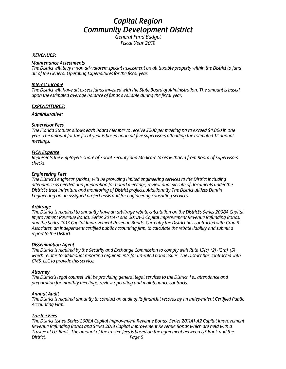*Fiscal Year 2019*

#### *REVENUES:*

#### *Maintenance Assessments*

*The District will levy a non ad-valorem special assessment on all taxable property within the District to fund all of the General Operating Expenditures for the fiscal year.*

#### *Interest Income*

*The District will have all excess funds invested with the State Board of Administration. The amount is based upon the estimated average balance of funds available during the fiscal year.*

#### *EXPENDITURES:*

#### *Administrative:*

#### *Supervisor Fees*

*The Florida Statutes allows each board member to receive \$200 per meeting no to exceed \$4,800 in one year. The amount for the fiscal year is based upon all five supervisors attending the estimated 12 annual meetings.*

#### *FICA Expense*

*Represents the Employer's share of Social Security and Medicare taxes withheld from Board of Supervisors checks.*

#### *Engineering Fees*

*The District's engineer (Atkins) will be providing limited engineering services to the District including attendance as needed and preparation for board meetings, review and execute of documents under the District's trust indenture and monitoring of District projects. Additionally The District utilizes Dantin Engineering on an assigned project basis and for engineering consulting services.*

#### *Arbitrage*

*The District is required to annually have an arbitrage rebate calculation on the District's Series 2008A Capital Improvement Revenue Bonds, Series 2011A-1 and 2011A-2 Capital Improvement Revenue Refunding Bonds, and the Series 2013 Capital Improvement Revenue Bonds. Currently the District has contracted with Grau & Associates, an independent certified public accounting firm, to calculate the rebate liability and submit a report to the District.*

#### *Dissemination Agent*

*The District is required by the Security and Exchange Commission to comply with Rule 15(c) (2)-12(b) (5), which relates to additional reporting requirements for un-rated bond issues. The District has contracted with GMS, LLC to provide this service.*

#### *Attorney*

*The District's legal counsel will be providing general legal services to the District, i.e., attendance and preparation for monthly meetings, review operating and maintenance contracts.*

#### *Annual Audit*

*The District is required annually to conduct an audit of its financial records by an Independent Certified Public Accounting Firm.*

#### *Trustee Fees*

*The District issued Series 2008A Capital Improvement Revenue Bonds, Series 2011A1-A2 Capital Improvement Revenue Refunding Bonds and Series 2013 Capital Improvement Revenue Bonds which are held with a Trustee at US Bank. The amount of the trustee fees is based on the agreement between US Bank and the District. Page 5*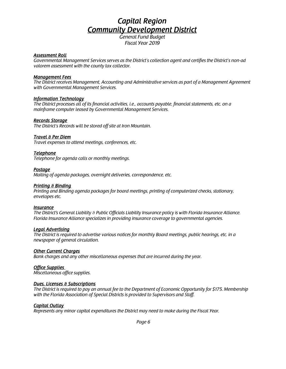*Fiscal Year 2019*

#### *Assessment Roll*

*Governmental Management Services serves as the District's collection agent and certifies the District's non-ad valorem assessment with the county tax collector.*

#### *Management Fees*

*The District receives Management, Accounting and Administrative services as part of a Management Agreement with Governmental Management Services.*

#### *Information Technology*

*The District processes all of its financial activities, i.e., accounts payable, financial statements, etc. on a mainframe computer leased by Governmental Management Services.*

#### *Records Storage*

*The District's Records will be stored off site at Iron Mountain.*

#### *Travel & Per Diem*

*Travel expenses to attend meetings, conferences, etc.*

#### *Telephone*

*Telephone for agenda calls or monthly meetings.*

#### *Postage*

*Mailing of agenda packages, overnight deliveries, correspondence, etc.*

#### *Printing & Binding*

*Printing and Binding agenda packages for board meetings, printing of computerized checks, stationary, envelopes etc.*

#### *Insurance*

*The District's General Liability & Public Officials Liability Insurance policy is with Florida Insurance Alliance. Florida Insurance Alliance specializes in providing insurance coverage to governmental agencies.*

#### *Legal Advertising*

*The District is required to advertise various notices for monthly Board meetings, public hearings, etc. in a newspaper of general circulation.*

#### *Other Current Charges*

*Bank charges and any other miscellaneous expenses that are incurred during the year.*

#### *Office Supplies*

*Miscellaneous office supplies.*

#### *Dues, Licenses & Subscriptions*

*The District is required to pay an annual fee to the Department of Economic Opportunity for \$175. Membership with the Florida Association of Special Districts is provided to Supervisors and Staff.*

#### *Capital Outlay*

*Represents any minor capital expenditures the District may need to make during the Fiscal Year.*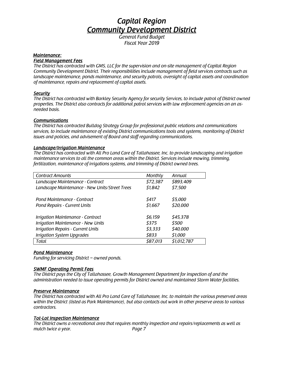*Fiscal Year 2019*

#### *Maintenance:*

#### *Field Management Fees*

*The District has contracted with GMS, LLC for the supervision and on-site management of Capital Region Community Development District. Their responsibilities include management of field services contracts such as landscape maintenance, ponds maintenance, and security patrols, oversight of capital assets and coordination of maintenance, repairs and replacement of capital assets.*

#### *Security*

*The District has contracted with Barkley Security Agency for security Services, to include patrol of District owned properties. The District also contracts for additional patrol services with law enforcement agencies on an asneeded basis.*

#### *Communications*

*The District has contracted Bulldog Strategy Group for professional public relations and communications services, to include maintenance of existing District communications tools and systems, monitoring of District issues and policies, and advisement of Board and staff regarding communications.*

#### *Landscape/Irrigation Maintenance*

*The District has contracted with All Pro Land Care of Tallahassee, Inc. to provide landscaping and irrigation maintenance services to all the common areas within the District. Services include mowing, trimming, fertilization, maintenance of irrigations systems, and trimming of District owned trees.*

| <b>Contract Amounts</b>                        | Monthly  | Annual      |
|------------------------------------------------|----------|-------------|
| Landscape Maintenance - Contract               | \$72,387 | \$893,409   |
| Landscape Maintenance - New Units/Street Trees | \$1,842  | \$7,500     |
|                                                |          |             |
| Pond Maintenance - Contract                    | \$417    | \$5,000     |
| Pond Repairs - Current Units                   | \$1,667  | \$20,000    |
|                                                |          |             |
| Irrigation Maintenance - Contract              | \$6,159  | \$45,378    |
| Irrigation Maintenance - New Units             | \$375    | \$500       |
| <b>Irrigation Repairs - Current Units</b>      | \$3,333  | \$40,000    |
| <b>Irrigation System Upgrades</b>              | \$833    | \$1,000     |
| Total                                          | \$87,013 | \$1,012,787 |

#### *Pond Maintenance*

*Funding for servicing District – owned ponds.*

#### *SWMF Operating Permit Fees*

*The District pays the City of Tallahassee, Growth Management Department for inspection of and the administration needed to issue operating permits for District owned and maintained Storm Water facilities.*

#### *Preserve Maintenance*

*The District has contracted with All Pro Land Care of Tallahassee, Inc. to maintain the various preserved areas within the District (listed as Park Maintenance), but also contacts out work in other preserve areas to various contractors.*

#### *Tot-Lot Inspection Maintenance*

*The District owns a recreational area that requires monthly inspection and repairs/replacements as well as mulch twice a year. Page 7*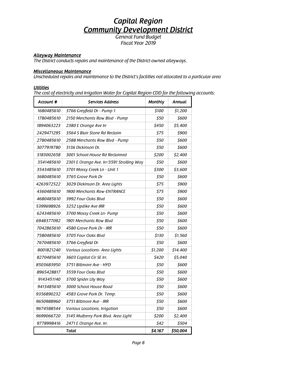*Fiscal Year 2019*

### *Alleyway Maintenance*

*The District conducts repairs and maintenance of the District-owned alleyways.*

#### *Miscellaneous Maintenance*

*Unscheduled repairs and maintenance to the District's facilities not allocated to a particular area*

#### *Utilities*

*The cost of electricity and Irrigation Water for Capital Region CDD for the following accounts:*

| Account #  | <b>Services Address</b>                   | <b>Monthly</b> | Annual   |
|------------|-------------------------------------------|----------------|----------|
| 1680485610 | 3766 Greyfield Dr - Pump 1                | \$100          | \$1,200  |
| 1780485610 | 2150 Merchants Row Blvd - Pump            | \$50           | \$600    |
| 1894063223 | 2380 E Orange Ave Irr                     | \$450          | \$5,400  |
| 2429471295 | 3564 S Blair Stone Rd Reclaim             | \$75           | \$900    |
| 2780485610 | 2588 Merchants Row Blvd - Pump            | \$50           | \$600    |
| 3077919780 | 3136 Dickinson Dr.                        | \$50           | \$600    |
| 3183002658 | 3001 School House Rd Reclaimed            | \$200          | \$2,400  |
| 3541485610 | 2301 E Orange Ave, Irr/3591 Strolling Way | \$50           | \$600    |
| 3543485610 | 3701 Mossy Creek Ln - Unit 1              | \$300          | \$3,600  |
| 3680485610 | 3765 Grove Park Dr                        | 550            | 5600     |
| 4263972522 | 3029 Dickinson Dr. Area Lights            | \$75           | \$900    |
| 4360485610 | <b>1900 Merchants Row-ENTRANCE</b>        | \$75           | \$900    |
| 4680485610 | 3992 Four Oaks Blvd                       | \$50           | \$600    |
| 5399698926 | 3252 Updike Ave IRR                       | \$50           | \$600    |
| 6243485610 | 3700 Mossy Creek Ln- Pump                 | \$50           | \$600    |
| 6948377092 | 1901 Merchants Row Blvd                   | \$50           | \$600    |
| 7042865610 | 4580 Grove Park Dr - IRR                  | \$50           | \$600    |
| 7580485610 | 3705 Four Oaks Blvd                       | \$130          | \$1,560  |
| 7670485610 | 3766 Greyfield Dr                         | 550            | \$600    |
| 8001821240 | Various Locations - Area Lights           | \$1,200        | \$14,400 |
| 8270485610 | 3603 Capital Cir SE Irr.                  | \$420          | \$5,040  |
| 8503683950 | 3751 Biltmore Ave - HYD                   | 550            | \$600    |
| 8965428817 | 3559 Four Oaks Blvd                       | \$50           | 5600     |
| 9143451140 | 3700 Spider Lily Way                      | \$50           | \$600    |
| 9413485610 | 3000 School House Road                    | \$50           | \$600    |
| 9356890232 | 4583 Grove Park Dr. Temp.                 | \$50           | \$600    |
| 9650988960 | 3751 Biltmore Ave - IRR                   | \$50           | \$600    |
| 9674588544 | Various Locations, Irrigation             | \$50           | \$600    |
| 9699066720 | 3145 Mulberry Park Blvd. Area Light       | \$200          | \$2,400  |
| 9778998416 | 2471 E Orange Ave. Irr.                   | \$42           | \$504    |
|            | Total                                     | \$4,167        | \$50,004 |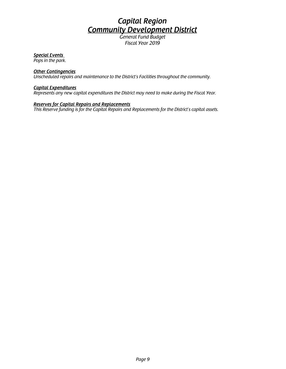*Fiscal Year 2019*

### *Special Events*

*Pops in the park.*

#### *Other Contingencies*

*Unscheduled repairs and maintenance to the District's Facilities throughout the community.*

#### *Capital Expenditures*

*Represents any new capital expenditures the District may need to make during the Fiscal Year.*

#### *Reserves for Capital Repairs and Replacements*

*This Reserve funding is for the Capital Repairs and Replacements for the District's capital assets.*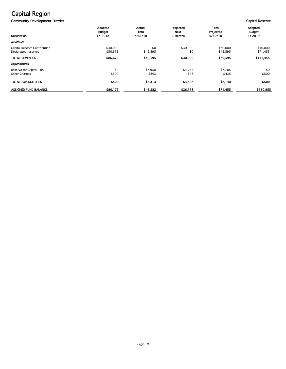**Community Development District Capital Reserve** Capital Reserve

|                              | Adopted<br>Budget | Actual<br>Thru | Projected<br><b>Next</b> | <b>Total</b><br>Projected | Adopted<br><b>Budget</b> |
|------------------------------|-------------------|----------------|--------------------------|---------------------------|--------------------------|
| Description                  | FY 2018           | 7/31/18        | 2 Months                 | 9/30/18                   | FY 2019                  |
| Revenues                     |                   |                |                          |                           |                          |
| Capital Reserve Contribution | \$30,000          | \$0            | \$30,000                 | \$30,000                  | \$40,000                 |
| Designated reserves          | \$56,672          | \$49,595       | \$0                      | \$49,595                  | \$71,455                 |
| <b>TOTAL REVENUES</b>        | \$86,672          | \$49,595       | \$30,000                 | \$79,595                  | \$111,455                |
| <b>Expenditures</b>          |                   |                |                          |                           |                          |
| Reserve for Capital - R&R    | \$0               | \$3,950        | \$3,755                  | \$7,705                   | \$0                      |
| Other Charges                | \$500             | \$363          | \$73                     | \$435                     | \$500                    |
| <b>TOTAL EXPENDITURES</b>    | \$500             | \$4,313        | \$3,828                  | \$8,140                   | \$500                    |
| <b>ASSIGNED FUND BALANCE</b> | \$86,172          | \$45,282       | \$26,173                 | \$71,455                  | \$110,955                |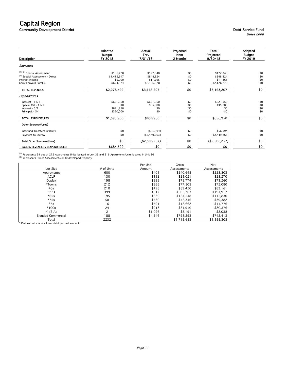Community Development District Debt Service Fund

| Description                                | Adopted<br><b>Budget</b><br>FY 2018 | Actual<br><b>Thru</b><br>7/31/18 | Projected<br><b>Next</b><br>2 Months | Total<br>Projected<br>9/30/18 | Adopted<br><b>Budget</b><br>FY 2019 |
|--------------------------------------------|-------------------------------------|----------------------------------|--------------------------------------|-------------------------------|-------------------------------------|
| Revenues                                   |                                     |                                  |                                      |                               |                                     |
| $(1)$ (2) Special Assessment               | \$186,478                           | \$177,340                        | \$0                                  | \$177,340                     | \$0                                 |
| <sup>(2)</sup> Special Assessment - Direct | \$1,412,647                         | \$848,324                        | \$0                                  | \$848.324                     | \$0                                 |
| Interest Income                            | \$5,000                             | \$11.265                         | \$0                                  | \$11.265                      | \$0                                 |
| Carry Forward Surplus                      | \$674,374                           | \$2,126,278                      | \$0                                  | \$2,126,278                   | \$0                                 |
| <b>TOTAL REVENUES</b>                      | \$2,278,499                         | \$3,163,207                      | \$0                                  | \$3,163,207                   | 30                                  |
| Expenditures                               |                                     |                                  |                                      |                               |                                     |
| Interest - 11/1                            | \$621,950                           | \$621,950                        | \$0                                  | \$621,950                     | \$0                                 |
| Special Call - 11/1                        | \$0                                 | \$35,000                         | \$0                                  | \$35,000                      | \$0                                 |
| Interest - 5/1                             | \$621,950                           | \$0                              | \$0                                  | \$0                           | \$0                                 |
| PrincipaL - 5/1                            | \$350,000                           | \$0                              | \$0                                  | \$0                           | \$0                                 |
| <b>TOTAL EXPENDITURES</b>                  | \$1,593,900                         | \$656,950                        | 50                                   | \$656,950                     | 30                                  |
| Other Sources/(Uses)                       |                                     |                                  |                                      |                               |                                     |
| Interfund Transfers In/(Out)               | \$0                                 | (\$56,994)                       | \$0                                  | (\$56,994)                    | \$0                                 |
| Payment to Escrow                          | \$0                                 | (\$2,449,263)                    | \$0                                  | (\$2,449,263)                 | \$0                                 |
| Total Other Sources/(Uses)                 | 30                                  | (\$2,506,257)                    | $\overline{50}$                      | (\$2,506,257)                 | \$0                                 |
| <b>EXCESS REVENUES / (EXPENDITURES)</b>    | \$684,599                           | \$0                              | \$0                                  | \$0                           | \$0                                 |

<sup>(1)</sup> Represents 34 out of 272 Apartments Units located in Unit 35 and 216 Apartments Units located in Unit 36<br><sup>(2)</sup> Represents Direct Assessments on Undeveloped Property

|                           |            | Per Unit | Gross       | <b>Net</b>  |
|---------------------------|------------|----------|-------------|-------------|
| Lot Size                  | # of Units | Amount   | Assessments | Assessments |
| Apartments                | 600        | \$401    | \$240.648   | \$223,803   |
| <b>ACLF</b>               | 130        | \$192    | \$25,021    | \$23,270    |
| Duplex                    | 198        | \$398    | \$78,774    | \$73,260    |
| *Towns                    | 212        | \$366    | \$77,505    | \$72,080    |
| 40s                       | 210        | \$426    | \$89,420    | \$83,161    |
| $*55s$                    | 399        | \$517    | \$206,363   | \$191,917   |
| $*65s$                    | 195        | \$639    | \$124,548   | \$115,830   |
| $*75s$                    | 58         | \$730    | \$42,346    | \$39,382    |
| 85s                       | 16         | \$791    | \$12.662    | \$11,776    |
| $*100s$                   | 24         | \$913    | \$21,910    | \$20,376    |
| $*1/2$ Ac                 |            | \$1,096  | \$2.191     | \$2,038     |
| <b>Blended Commercial</b> | 188        | \$4,246  | \$798,293   | \$742,413   |
| Total                     | 2232       |          | \$1,719,683 | \$1,599,305 |

\* Certain Units have a lower debt per unit amount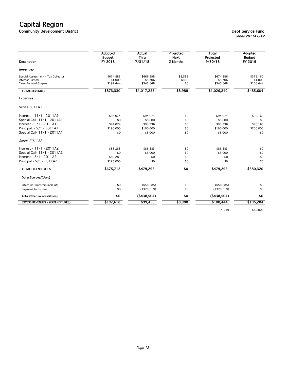Community Development District Debt Service Fund

| Description                                                                    | Adopted<br><b>Budget</b><br>FY 2018 | Actual<br><b>Thru</b><br>7/31/18  | Projected<br><b>Next</b><br>2 Months | Total<br>Projected<br>9/30/18     | Adopted<br><b>Budget</b><br>FY 2019 |
|--------------------------------------------------------------------------------|-------------------------------------|-----------------------------------|--------------------------------------|-----------------------------------|-------------------------------------|
| Revenues                                                                       |                                     |                                   |                                      |                                   |                                     |
| Special Assessment - Tax Collector<br>Interest Earned<br>Carry Forward Surplus | \$674.886<br>\$1,000<br>\$197,444   | \$666.298<br>\$5,306<br>\$345,648 | \$8,588<br>\$400<br>\$0              | \$674,886<br>\$5,706<br>\$345,648 | \$376.160<br>\$1,000<br>\$108,444   |
| <b>TOTAL REVENUES</b>                                                          | \$873,330                           | \$1,017,252                       | \$8,988                              | \$1,026,240                       | \$485,604                           |
| Expenses                                                                       |                                     |                                   |                                      |                                   |                                     |
| Series 2011A1                                                                  |                                     |                                   |                                      |                                   |                                     |
| Interest - 11/1 - 2011A1                                                       | \$94,074                            | \$94,074                          | \$0                                  | \$94,074                          | \$90,160                            |
| Special Call- 11/1 - 2011A1                                                    | \$0                                 | \$5,000                           | \$0                                  | \$5,000                           | \$0                                 |
| Interest - 5/1 - 2011A1                                                        | \$94,074                            | \$93,936                          | \$0                                  | \$93,936                          | \$90,160                            |
| PrincipaL - 5/1 - 2011A1                                                       | \$190,000                           | \$190,000                         | \$0                                  | \$190,000                         | \$200,000                           |
| Special Call- 11/1 - 2011A1                                                    | \$0                                 | \$5,000                           | \$0                                  | \$5,000                           | \$0                                 |
| Series 2011A2                                                                  |                                     |                                   |                                      |                                   |                                     |
| Interest - 11/1 - 2011A2                                                       | \$86,283                            | \$86,283                          | \$0                                  | \$86,283                          | \$0                                 |
| Special Call- 11/1 - 2011A2                                                    | \$0                                 | \$5,000                           | \$0                                  | \$5,000                           | \$0                                 |
| Interest - 5/1 - 2011A2                                                        | \$86,283                            | \$0                               | \$0                                  | \$0                               | \$0                                 |
| Principal - 5/1 - 2011A2                                                       | \$125,000                           | \$0                               | \$0                                  | \$0                               | \$0                                 |
| <b>TOTAL EXPENDITURES</b>                                                      | \$675,712                           | \$479,292                         | $\overline{50}$                      | \$479,292                         | \$380,320                           |
| Other Sources/(Uses)                                                           |                                     |                                   |                                      |                                   |                                     |
| Interfund Transfers In/(Out)                                                   | \$0                                 | ( \$58, 885)                      | \$0                                  | ( \$58, 885)                      | \$0                                 |
| Payment to Escrow                                                              | \$0                                 | (\$379,619)                       | \$0                                  | (\$379,619)                       | \$0                                 |
| Total Other Sources/(Uses)                                                     | $\overline{\text{so}}$              | ( \$438,504)                      | $\overline{\textbf{50}}$             | ( \$438,504)                      | $\overline{30}$                     |
| <b>EXCESS REVENUES / (EXPENDITURES)</b>                                        | \$197,618                           | \$99,456                          | \$8,988                              | \$108,444                         | \$105,284                           |
|                                                                                |                                     |                                   |                                      |                                   |                                     |

11/1/19 \$86,000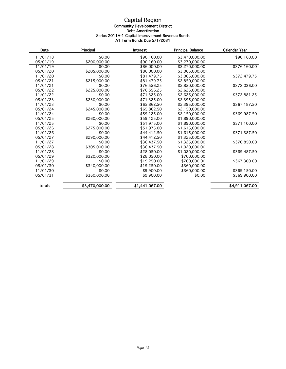#### Capital Region Community Development District Debt Amortization Series 2011A-1 Capital Improvement Revenue Bonds A1 Term Bonds Due 5/1/2031

| Date     | Principal      | <b>Interest</b> | <b>Principal Balance</b> | <b>Calendar Year</b> |
|----------|----------------|-----------------|--------------------------|----------------------|
| 11/01/18 | \$0.00         | \$90,160.00     | \$3,470,000.00           | \$90,160.00          |
| 05/01/19 | \$200,000.00   | \$90,160.00     | \$3,270,000.00           |                      |
| 11/01/19 | \$0.00         | \$86,000.00     | \$3,270,000.00           | \$376,160.00         |
| 05/01/20 | \$205,000.00   | \$86,000.00     | \$3,065,000.00           |                      |
| 11/01/20 | \$0.00         | \$81,479.75     | \$3,065,000.00           | \$372,479.75         |
| 05/01/21 | \$215,000.00   | \$81,479.75     | \$2,850,000.00           |                      |
| 11/01/21 | \$0.00         | \$76,556.25     | \$2,850,000.00           | \$373,036.00         |
| 05/01/22 | \$225,000.00   | \$76,556.25     | \$2,625,000.00           |                      |
| 11/01/22 | \$0.00         | \$71,325.00     | \$2,625,000.00           | \$372,881.25         |
| 05/01/23 | \$230,000.00   | \$71,325.00     | \$2,395,000.00           |                      |
| 11/01/23 | \$0.00         | \$65,862.50     | \$2,395,000.00           | \$367,187.50         |
| 05/01/24 | \$245,000.00   | \$65,862.50     | \$2,150,000.00           |                      |
| 11/01/24 | \$0.00         | \$59,125.00     | \$2,150,000.00           | \$369,987.50         |
| 05/01/25 | \$260,000.00   | \$59,125.00     | \$1,890,000.00           |                      |
| 11/01/25 | \$0.00         | \$51,975.00     | \$1,890,000.00           | \$371,100.00         |
| 05/01/26 | \$275,000.00   | \$51,975.00     | \$1,615,000.00           |                      |
| 11/01/26 | \$0.00         | \$44,412.50     | \$1,615,000.00           | \$371,387.50         |
| 05/01/27 | \$290,000.00   | \$44,412.50     | \$1,325,000.00           |                      |
| 11/01/27 | \$0.00         | \$36,437.50     | \$1,325,000.00           | \$370,850.00         |
| 05/01/28 | \$305,000.00   | \$36,437.50     | \$1,020,000.00           |                      |
| 11/01/28 | \$0.00         | \$28,050.00     | \$1,020,000.00           | \$369,487.50         |
| 05/01/29 | \$320,000.00   | \$28,050.00     | \$700,000,00             |                      |
| 11/01/29 | \$0.00         | \$19,250.00     | \$700,000.00             | \$367,300.00         |
| 05/01/30 | \$340,000.00   | \$19,250.00     | \$360,000.00             |                      |
| 11/01/30 | \$0.00         | \$9,900.00      | \$360,000.00             | \$369,150.00         |
| 05/01/31 | \$360,000.00   | \$9,900.00      | \$0.00                   | \$369,900.00         |
| totals   | \$3,470,000.00 | \$1,441,067.00  |                          | \$4,911,067.00       |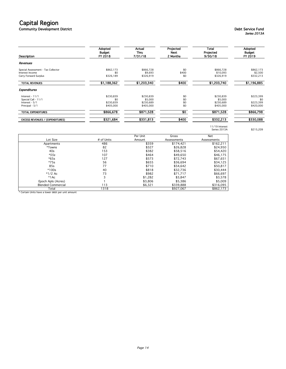Community Development District Debt Service Fund

## Series 2013A

| Description                                                                    | Adopted<br>Budget<br>FY 2018               | Actual<br>Thru<br>7/31/18                      | Projected<br>Next<br>2 Months | Total<br>Projected<br>9/30/18                  | Adopted<br><b>Budget</b><br>FY 2019        |
|--------------------------------------------------------------------------------|--------------------------------------------|------------------------------------------------|-------------------------------|------------------------------------------------|--------------------------------------------|
| Revenues                                                                       |                                            |                                                |                               |                                                |                                            |
| Special Assessment - Tax Collector<br>Interest Income<br>Carry Forward Surplus | \$862,173<br>\$0<br>\$326,189              | \$866,728<br>\$9,693<br>\$326,919              | \$0<br>\$400<br>\$0           | \$866,728<br>\$10,093<br>\$326,919             | \$862,173<br>\$2,500<br>\$332,213          |
| <b>TOTAL REVENUES</b>                                                          | \$1,188,362                                | \$1,203,340                                    | \$400                         | \$1,203,740                                    | \$1,196,885                                |
| <b>Expenditures</b>                                                            |                                            |                                                |                               |                                                |                                            |
| Interest - $11/1$<br>Special Call - 11/1<br>Interest - 5/1<br>Principal - 5/1  | \$230,839<br>\$0<br>\$230,839<br>\$405,000 | \$230,839<br>\$5,000<br>\$230,689<br>\$405,000 | \$0<br>\$0<br>\$0<br>\$0      | \$230,839<br>\$5,000<br>\$230,689<br>\$405,000 | \$223,399<br>\$0<br>\$223,399<br>\$420,000 |
| TOTAL EXPENDITURES                                                             | \$866,678                                  | \$871,528                                      | $\overline{50}$               | \$871,528                                      | \$866,798                                  |
| <b>EXCESS REVENUES / (EXPENDITURES)</b>                                        | \$321,684                                  | \$331,813                                      | \$400                         | \$332,213                                      | \$330,088                                  |

11/19 Interest Series 2013A \$215,209

|                           |            | Per Unit | Gross       | Net         |
|---------------------------|------------|----------|-------------|-------------|
| Lot Size                  | # of Units | Amount   | Assessments | Assessments |
| Apartments                | 486        | \$359    | \$174,421   | \$162,211   |
| *Towns                    | 82         | \$327    | \$26,828    | \$24,950    |
| 40s                       | 153        | \$382    | \$58,516    | \$54,420    |
| $*55s$                    | 107        | \$464    | \$49,650    | \$46,175    |
| $*65s$                    | 127        | \$573    | \$72,743    | \$67,651    |
| $*75s$                    | 56         | \$655    | \$36,694    | \$34,125    |
| 85s                       | 77         | \$710    | \$54,642    | \$50,817    |
| $*100s$                   | 40         | \$818    | \$32,736    | \$30,444    |
| $*1/2$ Ac                 | 73         | \$982    | \$71,717    | \$66,697    |
| $*1AC$                    | 3          | \$1,282  | \$3,847     | \$3,578     |
| Epoch Apls (Acres)        |            | \$3,806  | \$5,386     | \$5,009     |
| <b>Blended Commercial</b> | 113        | \$6,321  | \$339,888   | \$316,095   |
| Total                     | 1318       |          | \$927.067   | \$862.173   |

\* Certain Units have a lower debt per unit amount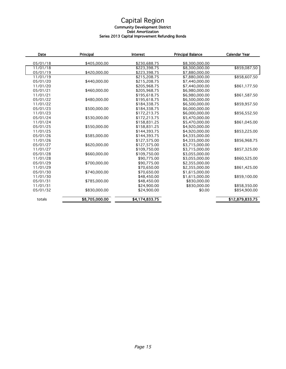#### Capital Region Community Development District Debt Amortization Series 2013 Capital Improvement Refunding Bonds

| Date     | Principal      | <b>Interest</b> | <b>Principal Balance</b> | <b>Calendar Year</b> |  |
|----------|----------------|-----------------|--------------------------|----------------------|--|
| 05/01/18 | \$405,000.00   | \$230,688.75    | \$8,300,000.00           |                      |  |
| 11/01/18 |                | \$223,398.75    | \$8,300,000.00           | \$859,087.50         |  |
| 05/01/19 | \$420,000.00   | \$223,398.75    | \$7,880,000.00           |                      |  |
| 11/01/19 |                | \$215,208.75    | \$7,880,000.00           | \$858,607.50         |  |
| 05/01/20 | \$440,000.00   | \$215,208.75    | \$7,440,000.00           |                      |  |
| 11/01/20 |                | \$205,968.75    | \$7,440,000.00           | \$861,177.50         |  |
| 05/01/21 | \$460,000.00   | \$205.968.75    | \$6,980,000,00           |                      |  |
| 11/01/21 |                | \$195,618.75    | \$6,980,000.00           | \$861,587.50         |  |
| 05/01/22 | \$480,000.00   | \$195,618.75    | \$6,500,000.00           |                      |  |
| 11/01/22 |                | \$184,338.75    | \$6,500,000.00           | \$859,957.50         |  |
| 05/01/23 | \$500,000.00   | \$184,338.75    | \$6,000,000,00           |                      |  |
| 11/01/23 |                | \$172,213.75    | \$6,000,000.00           | \$856,552.50         |  |
| 05/01/24 | \$530,000.00   | \$172,213.75    | \$5,470,000.00           |                      |  |
| 11/01/24 |                | \$158,831.25    | \$5,470,000.00           | \$861,045.00         |  |
| 05/01/25 | \$550,000.00   | \$158,831.25    | \$4,920,000.00           |                      |  |
| 11/01/25 |                | \$144,393.75    | \$4,920,000.00           | \$853,225.00         |  |
| 05/01/26 | \$585,000.00   | \$144,393.75    | \$4,335,000.00           |                      |  |
| 11/01/26 |                | \$127,575.00    | \$4,335,000.00           | \$856,968.75         |  |
| 05/01/27 | \$620,000.00   | \$127,575.00    | \$3,715,000.00           |                      |  |
| 11/01/27 |                | \$109,750.00    | \$3,715,000.00           | \$857,325.00         |  |
| 05/01/28 | \$660,000.00   | \$109,750.00    | \$3,055,000.00           |                      |  |
| 11/01/28 |                | \$90,775.00     | \$3,055,000.00           | \$860,525.00         |  |
| 05/01/29 | \$700,000.00   | \$90,775.00     | \$2,355,000.00           |                      |  |
| 11/01/29 |                | \$70,650.00     | \$2,355,000.00           | \$861,425.00         |  |
| 05/01/30 | \$740,000.00   | \$70,650.00     | \$1,615,000.00           |                      |  |
| 11/01/30 |                | \$48,450.00     | \$1,615,000.00           | \$859,100.00         |  |
| 05/01/31 | \$785,000.00   | \$48,450.00     | \$830,000.00             |                      |  |
| 11/01/31 |                | \$24,900.00     | \$830,000.00             | \$858,350.00         |  |
| 05/01/32 | \$830,000.00   | \$24,900.00     | \$0.00                   | \$854,900.00         |  |
| totals   | \$8,705,000.00 | \$4,174,833.75  |                          | \$12,879,833.75      |  |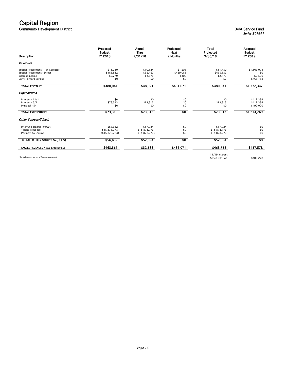Community Development District Debt Service Fund

| Description                                     | Proposed<br>Budget<br>FY 2018 | Actual<br>Thru<br>7/31/18 | Projected<br><b>Next</b><br>2 Months | <b>Total</b><br>Projected<br>9/30/18 | Adopted<br><b>Budget</b><br>FY 2019 |
|-------------------------------------------------|-------------------------------|---------------------------|--------------------------------------|--------------------------------------|-------------------------------------|
| Revenues                                        |                               |                           |                                      |                                      |                                     |
| Special Assessment - Tax Collector              | \$11,730                      | \$10,124                  | \$1,606                              | \$11,730                             | \$1,306,094                         |
| Special Assessment - Direct                     | \$465,532                     | \$36,467                  | \$429,065                            | \$465,532                            | \$0                                 |
| Interest Income                                 | \$2,779                       | \$2,379                   | \$400                                | \$2,779                              | \$2,500                             |
| Carry Forward Surplus                           | \$0                           | \$0                       | \$0                                  | \$0                                  | \$463,753                           |
| <b>TOTAL REVENUES</b>                           | \$480,041                     | \$48,971                  | \$431,071                            | \$480,041                            | \$1,772,347                         |
| <b>Expenditures</b>                             |                               |                           |                                      |                                      |                                     |
| Interest - 11/1                                 | \$0                           | \$0                       | \$0                                  | \$0                                  | \$412,384                           |
| Interest - 5/1                                  | \$73,313                      | \$73,313                  | \$0                                  | \$73,313                             | \$412,384                           |
| Principal - 5/1                                 | \$0                           | \$0                       | \$0                                  | \$0                                  | \$490,000                           |
| <b>TOTAL EXPENDITURES</b>                       | \$73,313                      | \$73,313                  | $\overline{50}$                      | \$73,313                             | \$1,314,769                         |
| Other Sources/(Uses)                            |                               |                           |                                      |                                      |                                     |
| Interfund Tranfer In/(Out)                      | \$56,632                      | \$57,024                  | \$0                                  | \$57,024                             | \$0                                 |
| * Bond Proceeds                                 | \$15,878,773                  | \$15,878,773              | \$0                                  | \$15,878,773                         | \$0                                 |
| Payment to Escrow                               | (\$15,878,773)                | (\$15,878,773)            | \$0                                  | (\$15,878,773)                       | \$0                                 |
| TOTAL OTHER SOURCES/(USES)                      | \$56,632                      | \$57,024                  | \$0                                  | \$57,024                             | $\overline{30}$                     |
| <b>EXCESS REVENUES / (EXPENDITURES)</b>         | \$463,361                     | \$32,682                  | \$431,071                            | \$463,753                            | \$457,578                           |
|                                                 |                               |                           |                                      | 11/19 Interest                       |                                     |
| * Bonds Proceeds are net of Reserve requirement |                               |                           |                                      | Series 2018A1                        | \$402,278                           |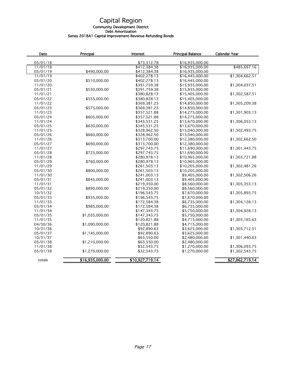#### Community Development District

Debt Amortization

#### Series 2018A1 Capital Improvement Revenue Refunding Bonds

| Date                 | Principal       | <b>Interest</b>             | <b>Principal Balance</b>           | Calendar Year   |
|----------------------|-----------------|-----------------------------|------------------------------------|-----------------|
|                      |                 |                             |                                    |                 |
| 05/01/18<br>11/01/18 |                 | \$73,312.78<br>\$412,384.38 | \$16,935,000.00<br>\$16,935,000.00 | \$485,697.16    |
| 05/01/19             | \$490,000.00    | \$412,384.38                | \$16,935,000.00                    |                 |
| 11/01/19             |                 | \$402,278.13                | \$16,445,000.00                    | \$1,304,662.51  |
| 05/01/20             | \$510,000.00    | \$402,278.13                | \$16,445,000.00                    |                 |
| 11/01/20             |                 | \$391,759.38                | \$15,935,000.00                    | \$1,304,037.51  |
| 05/01/21             | \$530,000.00    | \$391,759.38                | \$15,935,000.00                    |                 |
| 11/01/21             |                 | \$380,828.13                | \$15,405,000.00                    | \$1,302,587.51  |
| 05/01/22             | \$555,000.00    | \$380,828.13                | \$15,405,000.00                    |                 |
| 11/01/22             |                 |                             |                                    |                 |
|                      |                 | \$369,381.25                | \$14,850,000.00                    | \$1,305,209.38  |
| 05/01/23             | \$575,000.00    | \$369,381.25                | \$14,850,000.00                    |                 |
| 11/01/23             |                 | \$357,521.88                | \$14,275,000.00                    | \$1,301,903.13  |
| 05/01/24             | \$605,000.00    | \$357,521.88                | \$14,275,000.00                    |                 |
| 11/01/24             |                 | \$343,531.25                | \$13,670,000.00                    | \$1,306,053.13  |
| 05/01/25             | \$630,000.00    | \$343,531.25                | \$13,670,000.00                    |                 |
| 11/01/25             |                 | \$328,962.50                | \$13,040,000.00                    | \$1,302,493.75  |
| 05/01/26             | \$660,000.00    | \$328,962.50                | \$13,040,000.00                    |                 |
| 11/01/26             |                 | \$313,700.00                | \$12,380,000.00                    | \$1,302,662.50  |
| 05/01/27             | \$690,000.00    | \$313,700.00                | \$12,380,000.00                    |                 |
| 11/01/27             |                 | \$297,743.75                | \$11,690,000.00                    | \$1,301,443.75  |
| 05/01/28             | \$725,000.00    | \$297,743.75                | \$11,690,000.00                    |                 |
| 11/01/28             |                 | \$280,978.13                | \$10,965,000.00                    | \$1,303,721.88  |
| 05/01/29             | \$760,000.00    | \$280,978.13                | \$10,965,000.00                    |                 |
| 11/01/29             |                 | \$261,503.13                | \$10,205,000.00                    | \$1,302,481.26  |
| 05/01/30             | \$800,000.00    | \$261,503.13                | \$10,205,000.00                    |                 |
| 11/01/30             |                 | \$241,003.13                | \$9,405,000.00                     | \$1,302,506.26  |
| 05/01/31             | \$845,000.00    | \$241,003.13                | \$9,405,000.00                     |                 |
| 11/01/31             |                 | \$219,350.00                | \$8,560,000.00                     | \$1,305,353.13  |
| 05/01/32             | \$890,000.00    | \$219,350.00                | \$8,560,000.00                     |                 |
| 10/31/32             |                 | \$196,543.75                | \$7,670,000.00                     | \$1,305,893.75  |
| 05/01/33             | \$935,000.00    | \$196,543.75                | \$7,670,000.00                     |                 |
| 11/01/33             |                 | \$172,584.38                | \$6,735,000.00                     | \$1,304,128.13  |
| 05/01/34             | \$985,000.00    | \$172,584.38                | \$6,735,000.00                     |                 |
| 11/01/34             |                 | \$147,343.75                | \$5,750,000.00                     | \$1,304,928.13  |
| 05/01/35             | \$1,035,000.00  | \$147,343.75                | \$5,750,000.00                     |                 |
| 11/01/35             |                 | \$120,821.88                | \$4,715,000.00                     | \$1,303,165.63  |
| 04/30/36             | \$1,090,000.00  | \$120,821.88                | \$4,715,000.00                     |                 |
| 10/31/36             |                 | \$92,890.63                 | \$3,625,000.00                     | \$1,303,712.51  |
| 05/01/37             | \$1,145,000.00  | \$92,890.63                 | \$3,625,000.00                     |                 |
| 10/31/37             |                 | \$63,550.00                 | \$2,480,000.00                     | \$1,301,440.63  |
| 05/01/38             | \$1,210,000.00  | \$63,550.00                 | \$2,480,000.00                     |                 |
| 11/01/38             |                 | \$32,543.75                 | \$1,270,000.00                     | \$1,306,093.75  |
| 05/01/39             | \$1,270,000.00  | \$32,543.75                 | \$1,270,000.00                     | \$1,302,543.75  |
| totals               | \$16,935,000.00 | \$10,927,719.14             |                                    | \$27,862,719.14 |
|                      |                 |                             |                                    |                 |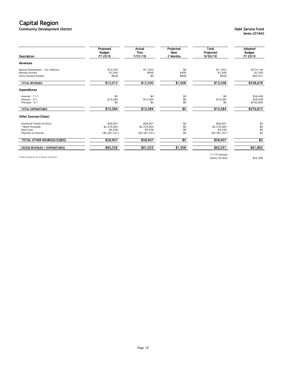Community Development District Debt Service Fund

## Series 2018A2

| Description                                     | Proposed<br>Budget<br>FY 2018 | Actual<br>Thru<br>7/31/18 | Projected<br><b>Next</b><br>2 Months | Total<br>Projected<br>9/30/18 | Adopted<br><b>Budget</b><br>FY 2019 |
|-------------------------------------------------|-------------------------------|---------------------------|--------------------------------------|-------------------------------|-------------------------------------|
| Revenues                                        |                               |                           |                                      |                               |                                     |
| Special Assessment - Tax Collector              | \$10,359                      | \$11.855                  | \$0                                  | \$11,855                      | \$274,146                           |
| Interest Income                                 | \$1,046                       | \$646                     | \$400                                | \$1,046                       | \$2,500                             |
| Carry Forward Surplus                           | \$608                         | \$0                       | \$608                                | \$608                         | \$62,031                            |
| <b>TOTAL REVENUES</b>                           | \$12,013                      | \$12,500                  | \$1,008                              | \$13,508                      | \$338,678                           |
| <b>Expenditures</b>                             |                               |                           |                                      |                               |                                     |
| Interest - 11/1                                 | \$0                           | \$0                       | \$0                                  | \$0                           | \$58,408                            |
| Interest - 5/1                                  | \$10,384                      | \$10,384                  | \$0                                  | \$10,384                      | \$58,408                            |
| Principal - 5/1                                 | \$0                           | \$0                       | \$0                                  | \$0                           | \$160,000                           |
| <b>TOTAL EXPENDITURES</b>                       | \$10,384                      | \$10,384                  | $\overline{50}$                      | \$10,384                      | \$276,815                           |
| Other Sources/(Uses)                            |                               |                           |                                      |                               |                                     |
| Interfund Tranfer In/(Out)                      | \$58.907                      | \$58.907                  | \$0                                  | \$58.907                      | \$0                                 |
| * Bond Proceeds                                 | \$2,376,964                   | \$2,376,964               | \$0                                  | \$2,376,964                   | \$0                                 |
| Gain/Loss                                       | \$4,538                       | \$4.538                   | \$0                                  | \$4,538                       | \$0                                 |
| Payment to Escrow                               | (\$2,381,501)                 | (\$2,381,501)             | \$0                                  | (\$2,381,501)                 | \$0                                 |
| TOTAL OTHER SOURCES/(USES)                      | \$58,907                      | \$58,907                  | \$0                                  | \$58,907                      | $\overline{30}$                     |
| <b>EXCESS REVENUES / (EXPENDITURES)</b>         | \$60,536                      | \$61,023                  | \$1,008                              | \$62,031                      | \$61,863                            |
|                                                 |                               |                           |                                      | 11/19 Interest                |                                     |
| * Bonds Proceeds are net of Reserve requirement |                               |                           |                                      | Series 2018A2                 | \$55,308                            |